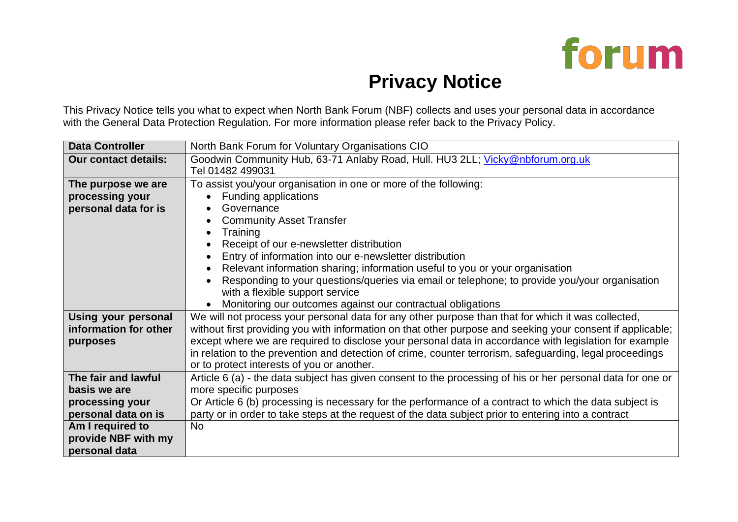

## **Privacy Notice**

This Privacy Notice tells you what to expect when North Bank Forum (NBF) collects and uses your personal data in accordance with the General Data Protection Regulation. For more information please refer back to the Privacy Policy.

| <b>Data Controller</b>      | North Bank Forum for Voluntary Organisations CIO                                                            |
|-----------------------------|-------------------------------------------------------------------------------------------------------------|
| <b>Our contact details:</b> | Goodwin Community Hub, 63-71 Anlaby Road, Hull. HU3 2LL; Vicky@nbforum.org.uk                               |
|                             | Tel 01482 499031                                                                                            |
| The purpose we are          | To assist you/your organisation in one or more of the following:                                            |
| processing your             | <b>Funding applications</b>                                                                                 |
| personal data for is        | Governance                                                                                                  |
|                             | <b>Community Asset Transfer</b>                                                                             |
|                             | Training<br>$\bullet$                                                                                       |
|                             | Receipt of our e-newsletter distribution<br>$\bullet$                                                       |
|                             | Entry of information into our e-newsletter distribution<br>$\bullet$                                        |
|                             | Relevant information sharing; information useful to you or your organisation<br>$\bullet$                   |
|                             | Responding to your questions/queries via email or telephone; to provide you/your organisation               |
|                             | with a flexible support service                                                                             |
|                             | Monitoring our outcomes against our contractual obligations<br>$\bullet$                                    |
| Using your personal         | We will not process your personal data for any other purpose than that for which it was collected,          |
| information for other       | without first providing you with information on that other purpose and seeking your consent if applicable;  |
| purposes                    | except where we are required to disclose your personal data in accordance with legislation for example      |
|                             | in relation to the prevention and detection of crime, counter terrorism, safeguarding, legal proceedings    |
|                             | or to protect interests of you or another.                                                                  |
| The fair and lawful         | Article 6 (a) - the data subject has given consent to the processing of his or her personal data for one or |
| basis we are                | more specific purposes                                                                                      |
| processing your             | Or Article 6 (b) processing is necessary for the performance of a contract to which the data subject is     |
| personal data on is         | party or in order to take steps at the request of the data subject prior to entering into a contract        |
| Am I required to            | <b>No</b>                                                                                                   |
| provide NBF with my         |                                                                                                             |
| personal data               |                                                                                                             |